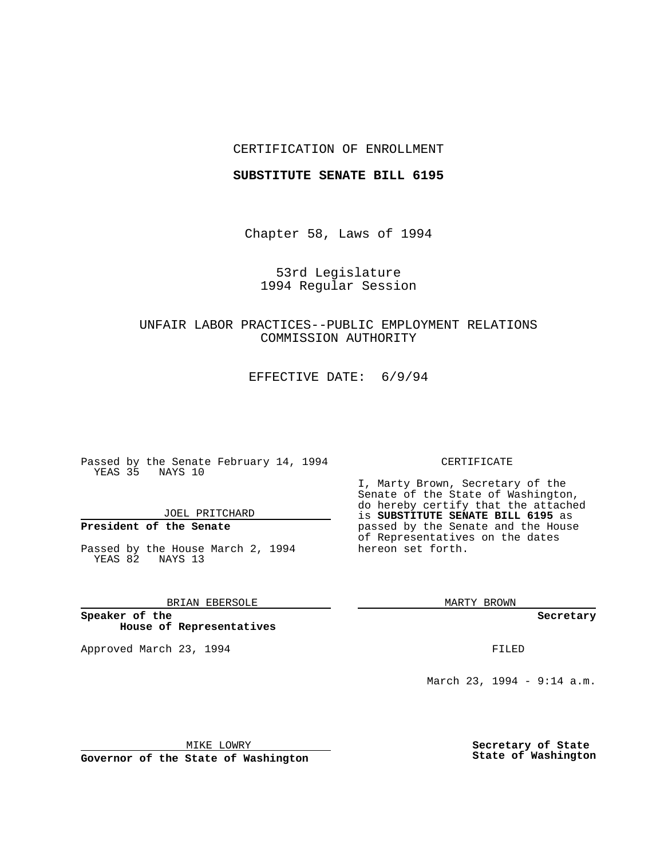## CERTIFICATION OF ENROLLMENT

## **SUBSTITUTE SENATE BILL 6195**

Chapter 58, Laws of 1994

53rd Legislature 1994 Regular Session

UNFAIR LABOR PRACTICES--PUBLIC EMPLOYMENT RELATIONS COMMISSION AUTHORITY

EFFECTIVE DATE: 6/9/94

Passed by the Senate February 14, 1994 YEAS 35 NAYS 10

JOEL PRITCHARD

# **President of the Senate**

Passed by the House March 2, 1994 YEAS 82 NAYS 13

BRIAN EBERSOLE

**Speaker of the House of Representatives**

Approved March 23, 1994 **FILED** 

#### CERTIFICATE

I, Marty Brown, Secretary of the Senate of the State of Washington, do hereby certify that the attached is **SUBSTITUTE SENATE BILL 6195** as passed by the Senate and the House of Representatives on the dates hereon set forth.

MARTY BROWN

**Secretary**

March 23, 1994 - 9:14 a.m.

MIKE LOWRY **Governor of the State of Washington** **Secretary of State State of Washington**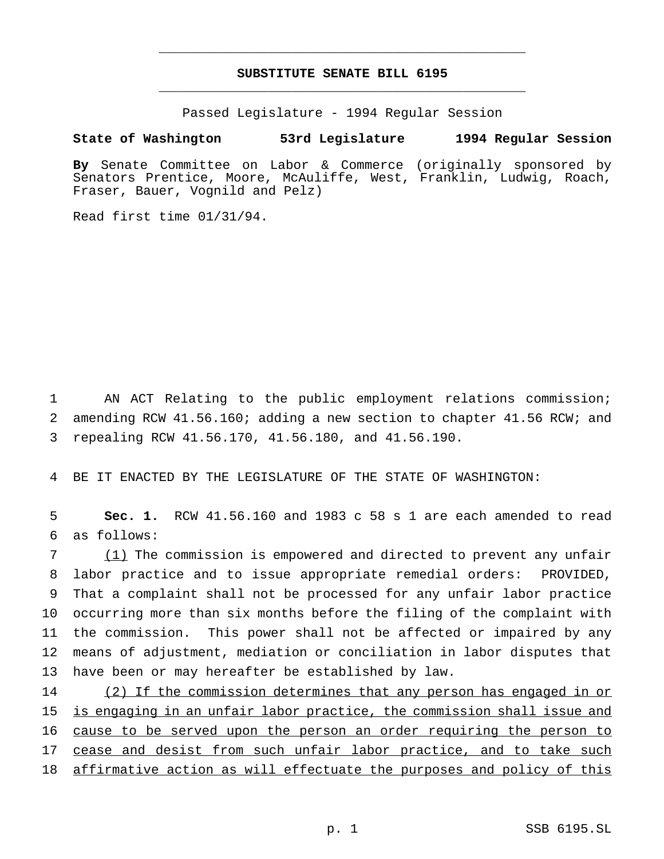## **SUBSTITUTE SENATE BILL 6195** \_\_\_\_\_\_\_\_\_\_\_\_\_\_\_\_\_\_\_\_\_\_\_\_\_\_\_\_\_\_\_\_\_\_\_\_\_\_\_\_\_\_\_\_\_\_\_

\_\_\_\_\_\_\_\_\_\_\_\_\_\_\_\_\_\_\_\_\_\_\_\_\_\_\_\_\_\_\_\_\_\_\_\_\_\_\_\_\_\_\_\_\_\_\_

Passed Legislature - 1994 Regular Session

### **State of Washington 53rd Legislature 1994 Regular Session**

**By** Senate Committee on Labor & Commerce (originally sponsored by Senators Prentice, Moore, McAuliffe, West, Franklin, Ludwig, Roach, Fraser, Bauer, Vognild and Pelz)

Read first time 01/31/94.

1 AN ACT Relating to the public employment relations commission; 2 amending RCW 41.56.160; adding a new section to chapter 41.56 RCW; and 3 repealing RCW 41.56.170, 41.56.180, and 41.56.190.

4 BE IT ENACTED BY THE LEGISLATURE OF THE STATE OF WASHINGTON:

5 **Sec. 1.** RCW 41.56.160 and 1983 c 58 s 1 are each amended to read 6 as follows:

 (1) The commission is empowered and directed to prevent any unfair labor practice and to issue appropriate remedial orders: PROVIDED, That a complaint shall not be processed for any unfair labor practice occurring more than six months before the filing of the complaint with the commission. This power shall not be affected or impaired by any means of adjustment, mediation or conciliation in labor disputes that have been or may hereafter be established by law.

14 (2) If the commission determines that any person has engaged in or 15 is engaging in an unfair labor practice, the commission shall issue and 16 cause to be served upon the person an order requiring the person to 17 cease and desist from such unfair labor practice, and to take such 18 affirmative action as will effectuate the purposes and policy of this